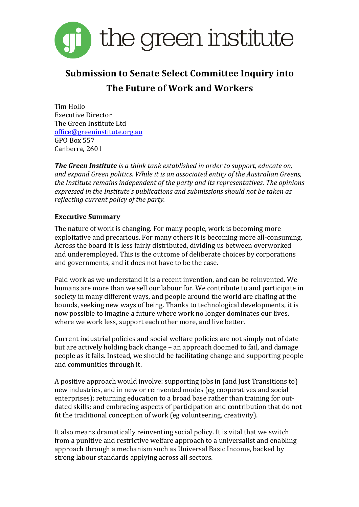

# **Submission to Senate Select Committee Inquiry into The Future of Work and Workers**

Tim Hollo Executive Director The Green Institute Ltd office@greeninstitute.org.au GPO Box 557 Canberra, 2601

**The Green Institute** is a think tank established in order to support, educate on, and expand Green politics. While it is an associated entity of the Australian Greens, *the Institute remains independent of the party and its representatives. The opinions* expressed in the Institute's publications and submissions should not be taken as *reflecting current policy of the party.* 

## **Executive Summary**

The nature of work is changing. For many people, work is becoming more exploitative and precarious. For many others it is becoming more all-consuming. Across the board it is less fairly distributed, dividing us between overworked and underemployed. This is the outcome of deliberate choices by corporations and governments, and it does not have to be the case.

Paid work as we understand it is a recent invention, and can be reinvented. We humans are more than we sell our labour for. We contribute to and participate in society in many different ways, and people around the world are chafing at the bounds, seeking new ways of being. Thanks to technological developments, it is now possible to imagine a future where work no longer dominates our lives, where we work less, support each other more, and live better.

Current industrial policies and social welfare policies are not simply out of date but are actively holding back change – an approach doomed to fail, and damage people as it fails. Instead, we should be facilitating change and supporting people and communities through it.

A positive approach would involve: supporting jobs in (and Just Transitions to) new industries, and in new or reinvented modes (eg cooperatives and social enterprises); returning education to a broad base rather than training for outdated skills; and embracing aspects of participation and contribution that do not fit the traditional conception of work (eg volunteering, creativity).

It also means dramatically reinventing social policy. It is vital that we switch from a punitive and restrictive welfare approach to a universalist and enabling approach through a mechanism such as Universal Basic Income, backed by strong labour standards applying across all sectors.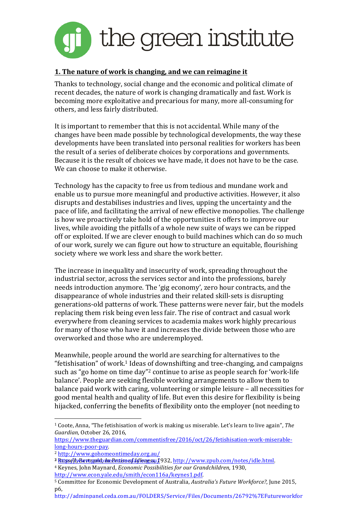

## **1.** The nature of work is changing, and we can reimagine it

Thanks to technology, social change and the economic and political climate of recent decades, the nature of work is changing dramatically and fast. Work is becoming more exploitative and precarious for many, more all-consuming for others, and less fairly distributed.

It is important to remember that this is not accidental. While many of the changes have been made possible by technological developments, the way these developments have been translated into personal realities for workers has been the result of a series of deliberate choices by corporations and governments. Because it is the result of choices we have made, it does not have to be the case. We can choose to make it otherwise.

Technology has the capacity to free us from tedious and mundane work and enable us to pursue more meaningful and productive activities. However, it also disrupts and destabilises industries and lives, upping the uncertainty and the pace of life, and facilitating the arrival of new effective monopolies. The challenge is how we proactively take hold of the opportunities it offers to improve our lives, while avoiding the pitfalls of a whole new suite of ways we can be ripped off or exploited. If we are clever enough to build machines which can do so much of our work, surely we can figure out how to structure an equitable, flourishing society where we work less and share the work better.

The increase in inequality and insecurity of work, spreading throughout the industrial sector, across the services sector and into the professions, barely needs introduction anymore. The 'gig economy', zero hour contracts, and the disappearance of whole industries and their related skill-sets is disrupting generations-old patterns of work. These patterns were never fair, but the models replacing them risk being even less fair. The rise of contract and casual work everywhere from cleaning services to academia makes work highly precarious for many of those who have it and increases the divide between those who are overworked and those who are underemployed.

Meanwhile, people around the world are searching for alternatives to the "fetishisation" of work.<sup>1</sup> Ideas of downshifting and tree-changing, and campaigns such as "go home on time day"<sup>2</sup> continue to arise as people search for 'work-life balance'. People are seeking flexible working arrangements to allow them to balance paid work with caring, volunteering or simple leisure – all necessities for good mental health and quality of life. But even this desire for flexibility is being hijacked, conferring the benefits of flexibility onto the employer (not needing to

 

http://adminpanel.ceda.com.au/FOLDERS/Service/Files/Documents/26792%7EFutureworkfor

 $1$  Coote, Anna, "The fetishisation of work is making us miserable. Let's learn to live again", *The* Guardian, October 26, 2016,

https://www.theguardian.com/commentisfree/2016/oct/26/fetishisation-work-miserablelong-hours-poor-pay.

<sup>2</sup> http://www.gohomeontimeday.org.au/

<sup>&</sup>lt;u>3 RutssellyBertranid, imeBratise of Idlengss, 1</u>932, <u>http://www.zpub.com/notes/idle.html.</u> <sup>4</sup> Keynes, John Maynard, *Economic Possibilities for our Grandchildren*, 1930,

http://www.econ.yale.edu/smith/econ116a/keynes1.pdf.

<sup>&</sup>lt;sup>5</sup> Committee for Economic Development of Australia, *Australia's Future Workforce?*, June 2015, p6,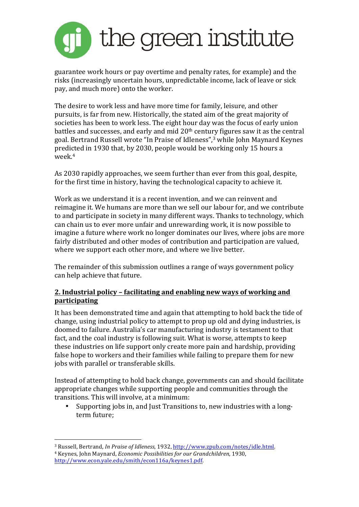

guarantee work hours or pay overtime and penalty rates, for example) and the risks (increasingly uncertain hours, unpredictable income, lack of leave or sick pay, and much more) onto the worker.

The desire to work less and have more time for family, leisure, and other pursuits, is far from new. Historically, the stated aim of the great majority of societies has been to work less. The eight hour day was the focus of early union battles and successes, and early and mid  $20<sup>th</sup>$  century figures saw it as the central goal. Bertrand Russell wrote "In Praise of Idleness",<sup>3</sup> while John Maynard Keynes predicted in 1930 that, by 2030, people would be working only 15 hours a week $4$ 

As 2030 rapidly approaches, we seem further than ever from this goal, despite, for the first time in history, having the technological capacity to achieve it.

Work as we understand it is a recent invention, and we can reinvent and reimagine it. We humans are more than we sell our labour for, and we contribute to and participate in society in many different ways. Thanks to technology, which can chain us to ever more unfair and unrewarding work, it is now possible to imagine a future where work no longer dominates our lives, where jobs are more fairly distributed and other modes of contribution and participation are valued. where we support each other more, and where we live better.

The remainder of this submission outlines a range of ways government policy can help achieve that future.

## **2.** Industrial policy – facilitating and enabling new ways of working and **participating**

It has been demonstrated time and again that attempting to hold back the tide of change, using industrial policy to attempt to prop up old and dying industries, is doomed to failure. Australia's car manufacturing industry is testament to that fact, and the coal industry is following suit. What is worse, attempts to keep these industries on life support only create more pain and hardship, providing false hope to workers and their families while failing to prepare them for new jobs with parallel or transferable skills.

Instead of attempting to hold back change, governments can and should facilitate appropriate changes while supporting people and communities through the transitions. This will involve, at a minimum:

Supporting jobs in, and lust Transitions to, new industries with a longterm future:

 

<sup>&</sup>lt;sup>3</sup> Russell, Bertrand, *In Praise of Idleness*, 1932, http://www.zpub.com/notes/idle.html. <sup>4</sup> Keynes, John Maynard, *Economic Possibilities for our Grandchildren*, 1930, http://www.econ.yale.edu/smith/econ116a/keynes1.pdf.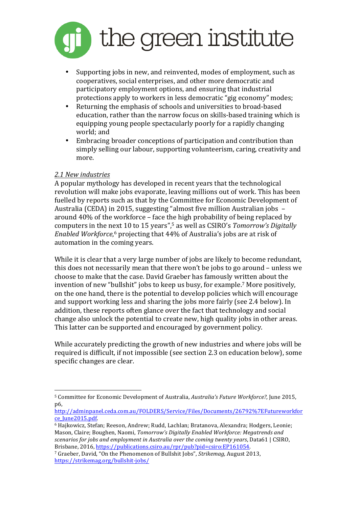

- Supporting jobs in new, and reinvented, modes of employment, such as cooperatives, social enterprises, and other more democratic and participatory employment options, and ensuring that industrial protections apply to workers in less democratic "gig economy" modes;
- Returning the emphasis of schools and universities to broad-based education, rather than the narrow focus on skills-based training which is equipping young people spectacularly poorly for a rapidly changing world; and
- Embracing broader conceptions of participation and contribution than simply selling our labour, supporting volunteerism, caring, creativity and more.

## *2.1 New industries*

 

A popular mythology has developed in recent years that the technological revolution will make jobs evaporate, leaving millions out of work. This has been fuelled by reports such as that by the Committee for Economic Development of Australia (CEDA) in 2015, suggesting "almost five million Australian jobs around  $40\%$  of the workforce – face the high probability of being replaced by computers in the next 10 to 15 years",<sup>5</sup> as well as CSIRO's *Tomorrow's Digitally Enabled Workforce*,<sup>6</sup> projecting that 44% of Australia's jobs are at risk of automation in the coming years.

While it is clear that a very large number of jobs are likely to become redundant, this does not necessarily mean that there won't be jobs to go around – unless we choose to make that the case. David Graeber has famously written about the invention of new "bullshit" jobs to keep us busy, for example.<sup>7</sup> More positively, on the one hand, there is the potential to develop policies which will encourage and support working less and sharing the jobs more fairly (see 2.4 below). In addition, these reports often glance over the fact that technology and social change also unlock the potential to create new, high quality jobs in other areas. This latter can be supported and encouraged by government policy.

While accurately predicting the growth of new industries and where jobs will be required is difficult, if not impossible (see section 2.3 on education below), some specific changes are clear.

<sup>&</sup>lt;sup>5</sup> Committee for Economic Development of Australia, *Australia's Future Workforce?*, June 2015, p6, 

http://adminpanel.ceda.com.au/FOLDERS/Service/Files/Documents/26792%7EFutureworkfor ce\_June2015.pdf.

 $\overline{6}$  Hajkowicz, Stefan; Reeson, Andrew; Rudd, Lachlan; Bratanova, Alexandra; Hodgers, Leonie; Mason, Claire; Boughen, Naomi, *Tomorrow's Digitally Enabled Workforce: Megatrends and scenarios for jobs and employment in Australia over the coming twenty years.* Data61 | CSIRO, Brisbane, 2016, https://publications.csiro.au/rpr/pub?pid=csiro:EP161054.

<sup>&</sup>lt;sup>7</sup> Graeber, David, "On the Phenomenon of Bullshit Jobs", *Strikemag*, August 2013, https://strikemag.org/bullshit-jobs/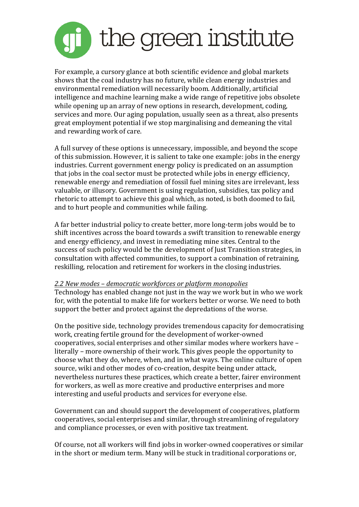

For example, a cursory glance at both scientific evidence and global markets shows that the coal industry has no future, while clean energy industries and environmental remediation will necessarily boom. Additionally, artificial intelligence and machine learning make a wide range of repetitive jobs obsolete while opening up an array of new options in research, development, coding, services and more. Our aging population, usually seen as a threat, also presents great employment potential if we stop marginalising and demeaning the vital and rewarding work of care.

A full survey of these options is unnecessary, impossible, and beyond the scope of this submission. However, it is salient to take one example: jobs in the energy industries. Current government energy policy is predicated on an assumption that jobs in the coal sector must be protected while jobs in energy efficiency, renewable energy and remediation of fossil fuel mining sites are irrelevant, less valuable, or illusory. Government is using regulation, subsidies, tax policy and rhetoric to attempt to achieve this goal which, as noted, is both doomed to fail, and to hurt people and communities while failing.

A far better industrial policy to create better, more long-term jobs would be to shift incentives across the board towards a swift transition to renewable energy and energy efficiency, and invest in remediating mine sites. Central to the success of such policy would be the development of Just Transition strategies, in consultation with affected communities, to support a combination of retraining, reskilling, relocation and retirement for workers in the closing industries.

#### *2.2 New modes – democratic workforces or platform monopolies*

Technology has enabled change not just in the way we work but in who we work for, with the potential to make life for workers better or worse. We need to both support the better and protect against the depredations of the worse.

On the positive side, technology provides tremendous capacity for democratising work, creating fertile ground for the development of worker-owned cooperatives, social enterprises and other similar modes where workers have literally – more ownership of their work. This gives people the opportunity to choose what they do, where, when, and in what ways. The online culture of open source, wiki and other modes of co-creation, despite being under attack, nevertheless nurtures these practices, which create a better, fairer environment for workers, as well as more creative and productive enterprises and more interesting and useful products and services for everyone else.

Government can and should support the development of cooperatives, platform cooperatives, social enterprises and similar, through streamlining of regulatory and compliance processes, or even with positive tax treatment.

Of course, not all workers will find jobs in worker-owned cooperatives or similar in the short or medium term. Many will be stuck in traditional corporations or,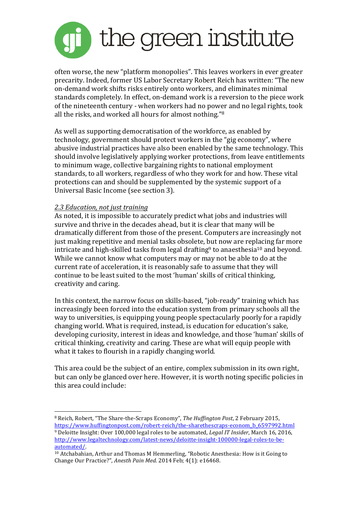

often worse, the new "platform monopolies". This leaves workers in ever greater precarity. Indeed, former US Labor Secretary Robert Reich has written: "The new on-demand work shifts risks entirely onto workers, and eliminates minimal standards completely. In effect, on-demand work is a reversion to the piece work of the nineteenth century - when workers had no power and no legal rights, took all the risks, and worked all hours for almost nothing."<sup>8</sup>

As well as supporting democratisation of the workforce, as enabled by technology, government should protect workers in the "gig economy", where abusive industrial practices have also been enabled by the same technology. This should involve legislatively applying worker protections, from leave entitlements to minimum wage, collective bargaining rights to national employment standards, to all workers, regardless of who they work for and how. These vital protections can and should be supplemented by the systemic support of a Universal Basic Income (see section 3).

## *2.3 Education, not just training*

 

As noted, it is impossible to accurately predict what jobs and industries will survive and thrive in the decades ahead, but it is clear that many will be dramatically different from those of the present. Computers are increasingly not just making repetitive and menial tasks obsolete, but now are replacing far more intricate and high-skilled tasks from legal drafting<sup>9</sup> to anaesthesia<sup>10</sup> and beyond. While we cannot know what computers may or may not be able to do at the current rate of acceleration, it is reasonably safe to assume that they will continue to be least suited to the most 'human' skills of critical thinking, creativity and caring.

In this context, the narrow focus on skills-based, "job-ready" training which has increasingly been forced into the education system from primary schools all the way to universities, is equipping young people spectacularly poorly for a rapidly changing world. What is required, instead, is education for education's sake, developing curiosity, interest in ideas and knowledge, and those 'human' skills of critical thinking, creativity and caring. These are what will equip people with what it takes to flourish in a rapidly changing world.

This area could be the subject of an entire, complex submission in its own right, but can only be glanced over here. However, it is worth noting specific policies in this area could include:

<sup>&</sup>lt;sup>8</sup> Reich, Robert, "The Share-the-Scraps Economy", *The Huffington Post*, 2 February 2015, https://www.huffingtonpost.com/robert-reich/the-sharethescraps-econom\_b\_6597992.html <sup>9</sup> Deloitte Insight: Over 100,000 legal roles to be automated, *Legal IT Insider*, March 16, 2016,

http://www.legaltechnology.com/latest-news/deloitte-insight-100000-legal-roles-to-beautomated/.

 $10$  Atchabahian, Arthur and Thomas M Hemmerling, "Robotic Anesthesia: How is it Going to Change Our Practice?", *Anesth Pain Med.* 2014 Feb; 4(1): e16468.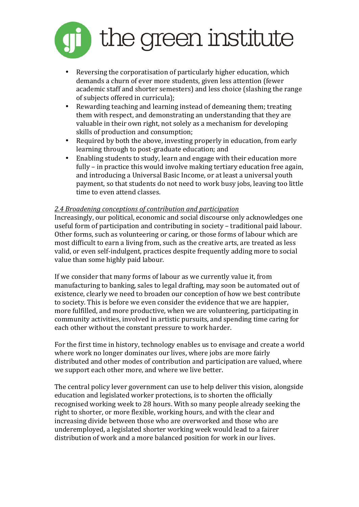

- Reversing the corporatisation of particularly higher education, which demands a churn of ever more students, given less attention (fewer academic staff and shorter semesters) and less choice (slashing the range of subjects offered in curricula);
- Rewarding teaching and learning instead of demeaning them; treating them with respect, and demonstrating an understanding that they are valuable in their own right, not solely as a mechanism for developing skills of production and consumption;
- Required by both the above, investing properly in education, from early learning through to post-graduate education; and
- Enabling students to study, learn and engage with their education more fully – in practice this would involve making tertiary education free again, and introducing a Universal Basic Income, or at least a universal youth payment, so that students do not need to work busy jobs, leaving too little time to even attend classes.

## *2.4 Broadening conceptions of contribution and participation*

Increasingly, our political, economic and social discourse only acknowledges one useful form of participation and contributing in society – traditional paid labour. Other forms, such as volunteering or caring, or those forms of labour which are most difficult to earn a living from, such as the creative arts, are treated as less valid, or even self-indulgent, practices despite frequently adding more to social value than some highly paid labour.

If we consider that many forms of labour as we currently value it, from manufacturing to banking, sales to legal drafting, may soon be automated out of existence, clearly we need to broaden our conception of how we best contribute to society. This is before we even consider the evidence that we are happier, more fulfilled, and more productive, when we are volunteering, participating in community activities, involved in artistic pursuits, and spending time caring for each other without the constant pressure to work harder.

For the first time in history, technology enables us to envisage and create a world where work no longer dominates our lives, where jobs are more fairly distributed and other modes of contribution and participation are valued, where we support each other more, and where we live better.

The central policy lever government can use to help deliver this vision, alongside education and legislated worker protections, is to shorten the officially recognised working week to 28 hours. With so many people already seeking the right to shorter, or more flexible, working hours, and with the clear and increasing divide between those who are overworked and those who are underemployed, a legislated shorter working week would lead to a fairer distribution of work and a more balanced position for work in our lives.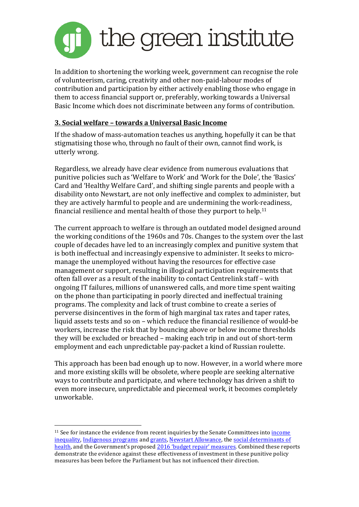

In addition to shortening the working week, government can recognise the role of volunteerism, caring, creativity and other non-paid-labour modes of contribution and participation by either actively enabling those who engage in them to access financial support or, preferably, working towards a Universal Basic Income which does not discriminate between any forms of contribution.

## **3. Social welfare – towards a Universal Basic Income**

If the shadow of mass-automation teaches us anything, hopefully it can be that stigmatising those who, through no fault of their own, cannot find work, is utterly wrong.

Regardless, we already have clear evidence from numerous evaluations that punitive policies such as 'Welfare to Work' and 'Work for the Dole', the 'Basics' Card and 'Healthy Welfare Card', and shifting single parents and people with a disability onto Newstart, are not only ineffective and complex to administer, but they are actively harmful to people and are undermining the work-readiness, financial resilience and mental health of those they purport to help.<sup>11</sup>

The current approach to welfare is through an outdated model designed around the working conditions of the 1960s and 70s. Changes to the system over the last couple of decades have led to an increasingly complex and punitive system that is both ineffectual and increasingly expensive to administer. It seeks to micromanage the unemployed without having the resources for effective case management or support, resulting in illogical participation requirements that often fall over as a result of the inability to contact Centrelink staff - with ongoing IT failures, millions of unanswered calls, and more time spent waiting on the phone than participating in poorly directed and ineffectual training programs. The complexity and lack of trust combine to create a series of perverse disincentives in the form of high marginal tax rates and taper rates, liquid assets tests and so on – which reduce the financial resilience of would-be workers, increase the risk that by bouncing above or below income thresholds they will be excluded or breached – making each trip in and out of short-term employment and each unpredictable pay-packet a kind of Russian roulette.

This approach has been bad enough up to now. However, in a world where more and more existing skills will be obsolete, where people are seeking alternative ways to contribute and participate, and where technology has driven a shift to even more insecure, unpredictable and piecemeal work, it becomes completely unworkable.

 

<sup>&</sup>lt;sup>11</sup> See for instance the evidence from recent inquiries by the Senate Committees into income inequality, Indigenous programs and grants, Newstart Allowance, the social determinants of health, and the Government's proposed 2016 'budget repair' measures. Combined these reports demonstrate the evidence against these effectiveness of investment in these punitive policy measures has been before the Parliament but has not influenced their direction.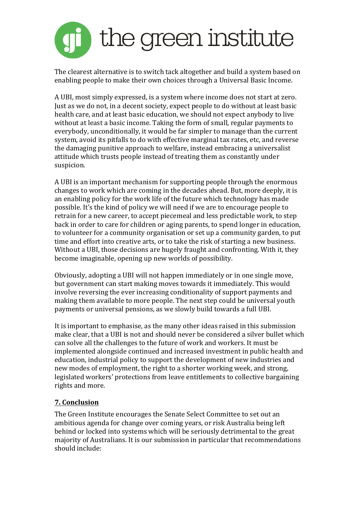

The clearest alternative is to switch tack altogether and build a system based on enabling people to make their own choices through a Universal Basic Income.

A UBI, most simply expressed, is a system where income does not start at zero. Just as we do not, in a decent society, expect people to do without at least basic health care, and at least basic education, we should not expect anybody to live without at least a basic income. Taking the form of small, regular payments to everybody, unconditionally, it would be far simpler to manage than the current system, avoid its pitfalls to do with effective marginal tax rates, etc, and reverse the damaging punitive approach to welfare, instead embracing a universalist attitude which trusts people instead of treating them as constantly under suspicion.

A UBI is an important mechanism for supporting people through the enormous changes to work which are coming in the decades ahead. But, more deeply, it is an enabling policy for the work life of the future which technology has made possible. It's the kind of policy we will need if we are to encourage people to retrain for a new career, to accept piecemeal and less predictable work, to step back in order to care for children or aging parents, to spend longer in education, to volunteer for a community organisation or set up a community garden, to put time and effort into creative arts, or to take the risk of starting a new business. Without a UBI, those decisions are hugely fraught and confronting. With it, they become imaginable, opening up new worlds of possibility.

Obviously, adopting a UBI will not happen immediately or in one single move, but government can start making moves towards it immediately. This would involve reversing the ever increasing conditionality of support payments and making them available to more people. The next step could be universal youth payments or universal pensions, as we slowly build towards a full UBI.

It is important to emphasise, as the many other ideas raised in this submission make clear, that a UBI is not and should never be considered a silver bullet which can solve all the challenges to the future of work and workers. It must be implemented alongside continued and increased investment in public health and education, industrial policy to support the development of new industries and new modes of employment, the right to a shorter working week, and strong, legislated workers' protections from leave entitlements to collective bargaining rights and more.

# **7. Conclusion**

The Green Institute encourages the Senate Select Committee to set out an ambitious agenda for change over coming years, or risk Australia being left behind or locked into systems which will be seriously detrimental to the great majority of Australians. It is our submission in particular that recommendations should include: